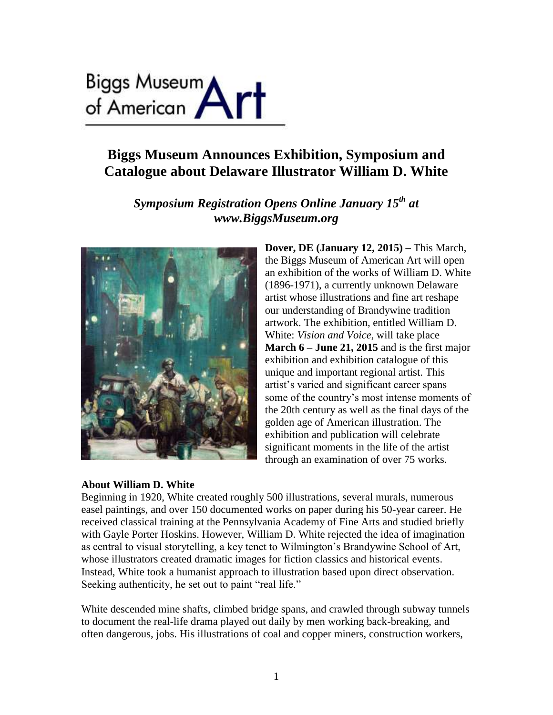# Biggs Museum<br>of American **Art**

# **Biggs Museum Announces Exhibition, Symposium and Catalogue about Delaware Illustrator William D. White**

*Symposium Registration Opens Online January 15th at www.BiggsMuseum.org*



# **About William D. White**

**Dover, DE (January 12, 2015) –** This March, the Biggs Museum of American Art will open an exhibition of the works of William D. White (1896-1971), a currently unknown Delaware artist whose illustrations and fine art reshape our understanding of Brandywine tradition artwork. The exhibition, entitled William D. White: *Vision and Voice,* will take place **March 6 – June 21, 2015** and is the first major exhibition and exhibition catalogue of this unique and important regional artist. This artist's varied and significant career spans some of the country's most intense moments of the 20th century as well as the final days of the golden age of American illustration. The exhibition and publication will celebrate significant moments in the life of the artist through an examination of over 75 works.

Beginning in 1920, White created roughly 500 illustrations, several murals, numerous easel paintings, and over 150 documented works on paper during his 50-year career. He received classical training at the Pennsylvania Academy of Fine Arts and studied briefly with Gayle Porter Hoskins. However, William D. White rejected the idea of imagination as central to visual storytelling, a key tenet to Wilmington's Brandywine School of Art, whose illustrators created dramatic images for fiction classics and historical events. Instead, White took a humanist approach to illustration based upon direct observation. Seeking authenticity, he set out to paint "real life."

White descended mine shafts, climbed bridge spans, and crawled through subway tunnels to document the real-life drama played out daily by men working back-breaking, and often dangerous, jobs. His illustrations of coal and copper miners, construction workers,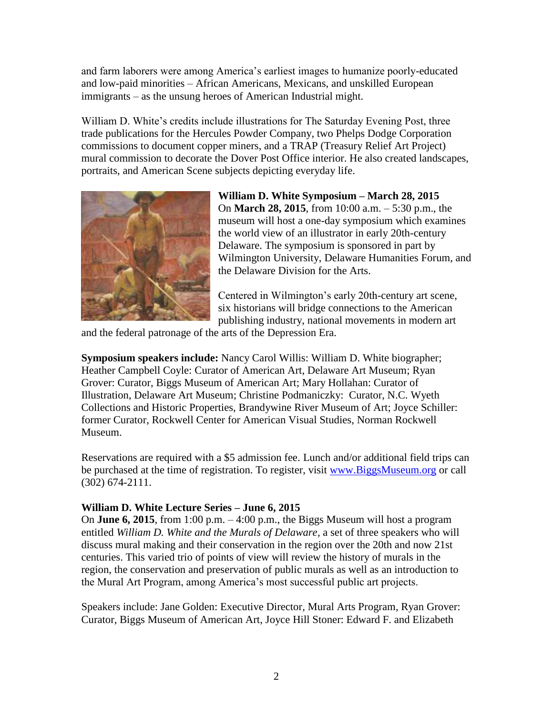and farm laborers were among America's earliest images to humanize poorly-educated and low-paid minorities – African Americans, Mexicans, and unskilled European immigrants – as the unsung heroes of American Industrial might.

William D. White's credits include illustrations for The Saturday Evening Post, three trade publications for the Hercules Powder Company, two Phelps Dodge Corporation commissions to document copper miners, and a TRAP (Treasury Relief Art Project) mural commission to decorate the Dover Post Office interior. He also created landscapes, portraits, and American Scene subjects depicting everyday life.



**William D. White Symposium – March 28, 2015** On **March 28, 2015**, from 10:00 a.m. – 5:30 p.m., the museum will host a one-day symposium which examines the world view of an illustrator in early 20th-century Delaware. The symposium is sponsored in part by Wilmington University, Delaware Humanities Forum, and the Delaware Division for the Arts.

Centered in Wilmington's early 20th-century art scene, six historians will bridge connections to the American publishing industry, national movements in modern art

and the federal patronage of the arts of the Depression Era.

**Symposium speakers include:** Nancy Carol Willis: William D. White biographer; Heather Campbell Coyle: Curator of American Art, Delaware Art Museum; Ryan Grover: Curator, Biggs Museum of American Art; Mary Hollahan: Curator of Illustration, Delaware Art Museum; Christine Podmaniczky: Curator, N.C. Wyeth Collections and Historic Properties, Brandywine River Museum of Art; Joyce Schiller: former Curator, Rockwell Center for American Visual Studies, Norman Rockwell Museum.

Reservations are required with a \$5 admission fee. Lunch and/or additional field trips can be purchased at the time of registration. To register, visit [www.BiggsMuseum.org](http://www.biggsmuseum.org/) or call (302) 674-2111.

# **William D. White Lecture Series – June 6, 2015**

On **June 6, 2015**, from 1:00 p.m. – 4:00 p.m., the Biggs Museum will host a program entitled *William D. White and the Murals of Delaware,* a set of three speakers who will discuss mural making and their conservation in the region over the 20th and now 21st centuries. This varied trio of points of view will review the history of murals in the region, the conservation and preservation of public murals as well as an introduction to the Mural Art Program, among America's most successful public art projects.

Speakers include: Jane Golden: Executive Director, Mural Arts Program, Ryan Grover: Curator, Biggs Museum of American Art, Joyce Hill Stoner: Edward F. and Elizabeth